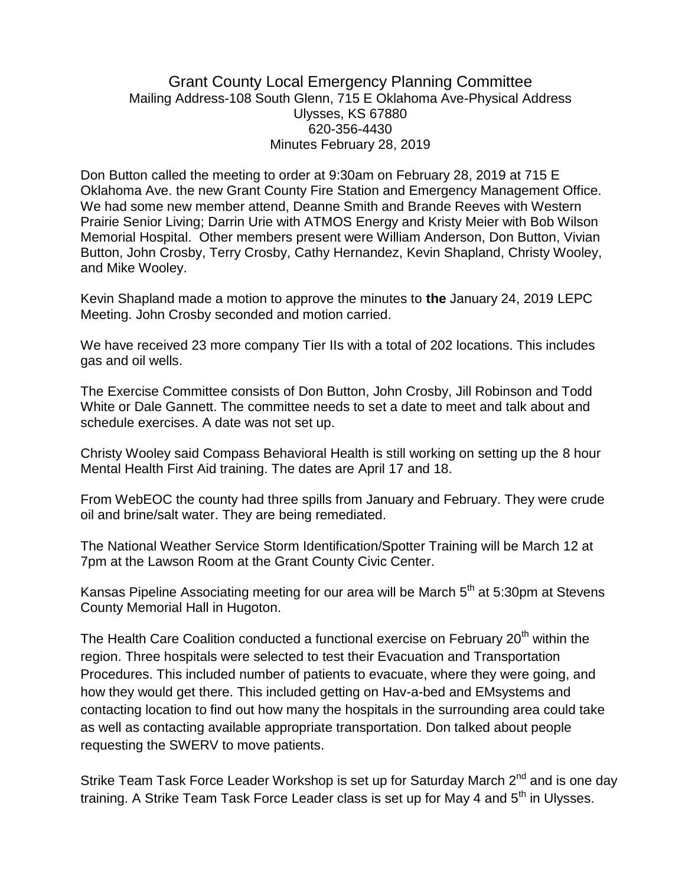## Grant County Local Emergency Planning Committee Mailing Address-108 South Glenn, 715 E Oklahoma Ave-Physical Address Ulysses, KS 67880 620-356-4430 Minutes February 28, 2019

Don Button called the meeting to order at 9:30am on February 28, 2019 at 715 E Oklahoma Ave. the new Grant County Fire Station and Emergency Management Office. We had some new member attend, Deanne Smith and Brande Reeves with Western Prairie Senior Living; Darrin Urie with ATMOS Energy and Kristy Meier with Bob Wilson Memorial Hospital. Other members present were William Anderson, Don Button, Vivian Button, John Crosby, Terry Crosby, Cathy Hernandez, Kevin Shapland, Christy Wooley, and Mike Wooley.

Kevin Shapland made a motion to approve the minutes to **the** January 24, 2019 LEPC Meeting. John Crosby seconded and motion carried.

We have received 23 more company Tier IIs with a total of 202 locations. This includes gas and oil wells.

The Exercise Committee consists of Don Button, John Crosby, Jill Robinson and Todd White or Dale Gannett. The committee needs to set a date to meet and talk about and schedule exercises. A date was not set up.

Christy Wooley said Compass Behavioral Health is still working on setting up the 8 hour Mental Health First Aid training. The dates are April 17 and 18.

From WebEOC the county had three spills from January and February. They were crude oil and brine/salt water. They are being remediated.

The National Weather Service Storm Identification/Spotter Training will be March 12 at 7pm at the Lawson Room at the Grant County Civic Center.

Kansas Pipeline Associating meeting for our area will be March  $5<sup>th</sup>$  at 5:30pm at Stevens County Memorial Hall in Hugoton.

The Health Care Coalition conducted a functional exercise on February 20<sup>th</sup> within the region. Three hospitals were selected to test their Evacuation and Transportation Procedures. This included number of patients to evacuate, where they were going, and how they would get there. This included getting on Hav-a-bed and EMsystems and contacting location to find out how many the hospitals in the surrounding area could take as well as contacting available appropriate transportation. Don talked about people requesting the SWERV to move patients.

Strike Team Task Force Leader Workshop is set up for Saturday March 2<sup>nd</sup> and is one day training. A Strike Team Task Force Leader class is set up for May 4 and  $5<sup>th</sup>$  in Ulysses.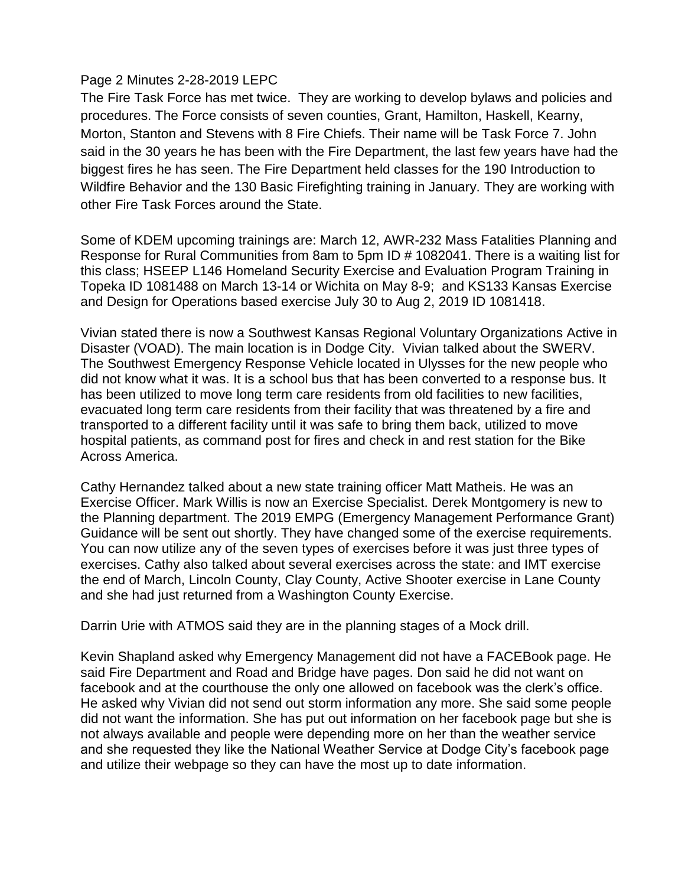## Page 2 Minutes 2-28-2019 LEPC

The Fire Task Force has met twice. They are working to develop bylaws and policies and procedures. The Force consists of seven counties, Grant, Hamilton, Haskell, Kearny, Morton, Stanton and Stevens with 8 Fire Chiefs. Their name will be Task Force 7. John said in the 30 years he has been with the Fire Department, the last few years have had the biggest fires he has seen. The Fire Department held classes for the 190 Introduction to Wildfire Behavior and the 130 Basic Firefighting training in January. They are working with other Fire Task Forces around the State.

Some of KDEM upcoming trainings are: March 12, AWR-232 Mass Fatalities Planning and Response for Rural Communities from 8am to 5pm ID # 1082041. There is a waiting list for this class; HSEEP L146 Homeland Security Exercise and Evaluation Program Training in Topeka ID 1081488 on March 13-14 or Wichita on May 8-9; and KS133 Kansas Exercise and Design for Operations based exercise July 30 to Aug 2, 2019 ID 1081418.

Vivian stated there is now a Southwest Kansas Regional Voluntary Organizations Active in Disaster (VOAD). The main location is in Dodge City. Vivian talked about the SWERV. The Southwest Emergency Response Vehicle located in Ulysses for the new people who did not know what it was. It is a school bus that has been converted to a response bus. It has been utilized to move long term care residents from old facilities to new facilities, evacuated long term care residents from their facility that was threatened by a fire and transported to a different facility until it was safe to bring them back, utilized to move hospital patients, as command post for fires and check in and rest station for the Bike Across America.

Cathy Hernandez talked about a new state training officer Matt Matheis. He was an Exercise Officer. Mark Willis is now an Exercise Specialist. Derek Montgomery is new to the Planning department. The 2019 EMPG (Emergency Management Performance Grant) Guidance will be sent out shortly. They have changed some of the exercise requirements. You can now utilize any of the seven types of exercises before it was just three types of exercises. Cathy also talked about several exercises across the state: and IMT exercise the end of March, Lincoln County, Clay County, Active Shooter exercise in Lane County and she had just returned from a Washington County Exercise.

Darrin Urie with ATMOS said they are in the planning stages of a Mock drill.

Kevin Shapland asked why Emergency Management did not have a FACEBook page. He said Fire Department and Road and Bridge have pages. Don said he did not want on facebook and at the courthouse the only one allowed on facebook was the clerk's office. He asked why Vivian did not send out storm information any more. She said some people did not want the information. She has put out information on her facebook page but she is not always available and people were depending more on her than the weather service and she requested they like the National Weather Service at Dodge City's facebook page and utilize their webpage so they can have the most up to date information.